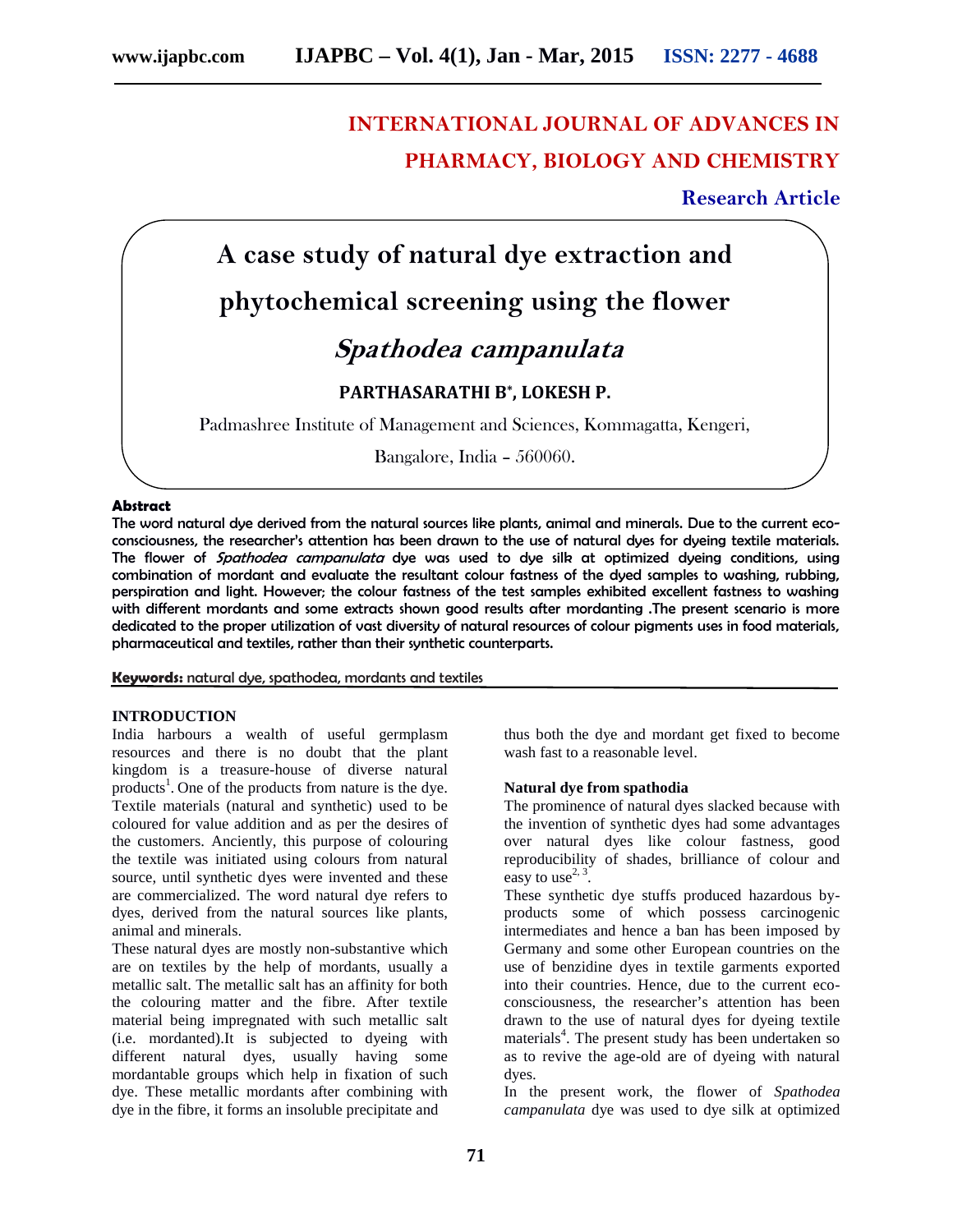# **INTERNATIONAL JOURNAL OF ADVANCES IN PHARMACY, BIOLOGY AND CHEMISTRY**

# **Research Article**



#### **Abstract**

The word natural dye derived from the natural sources like plants, animal and minerals. Due to the current eco consciousness, the researcher's attention has been drawn to the use of natural dyes for dyeing textile materials. The flower of *Spathodea campanulata* dye was used to dye silk at optimized dyeing conditions, using combination of mordant and evaluate the resultant colour fastness of the dyed samples to washing, rubbing, perspiration and light. However; the colour fastness of the test samples exhibited excellent fastness to washing with different mordants and some extracts shown good results after mordanting .The present scenario is more dedicated to the proper utilization of vast diversity of natural resources of colour pigments uses in food materials, pharmaceutical and textiles, rather than their synthetic counterparts.

**Keywords:** natural dye, spathodea, mordants and textiles

#### **INTRODUCTION**

India harbours a wealth of useful germplasm resources and there is no doubt that the plant kingdom is a treasure-house of diverse natural products<sup>1</sup>. One of the products from nature is the dye. Textile materials (natural and synthetic) used to be coloured for value addition and as per the desires of the customers. Anciently, this purpose of colouring the textile was initiated using colours from natural source, until synthetic dyes were invented and these are commercialized. The word natural dye refers to dyes, derived from the natural sources like plants, animal and minerals.

These natural dyes are mostly non-substantive which are on textiles by the help of mordants, usually a metallic salt. The metallic salt has an affinity for both the colouring matter and the fibre. After textile material being impregnated with such metallic salt (i.e. mordanted).It is subjected to dyeing with different natural dyes, usually having some mordantable groups which help in fixation of such dye. These metallic mordants after combining with dye in the fibre, it forms an insoluble precipitate and

thus both the dye and mordant get fixed to become wash fast to a reasonable level.

#### **Natural dye from spathodia**

The prominence of natural dyes slacked because with the invention of synthetic dyes had some advantages over natural dyes like colour fastness, good reproducibility of shades, brilliance of colour and easy to use<sup>2, 3</sup>.

These synthetic dye stuffs produced hazardous by products some of which possess carcinogenic intermediates and hence a ban has been imposed by Germany and some other European countries on the use of benzidine dyes in textile garments exported into their countries. Hence, due to the current eco consciousness, the researcher's attention has been drawn to the use of natural dyes for dyeing textile materials<sup>4</sup>. The present study has been undertaken so as to revive the age-old are of dyeing with natural dyes.

In the present work, the flower of *Spathodea campanulata* dye was used to dye silk at optimized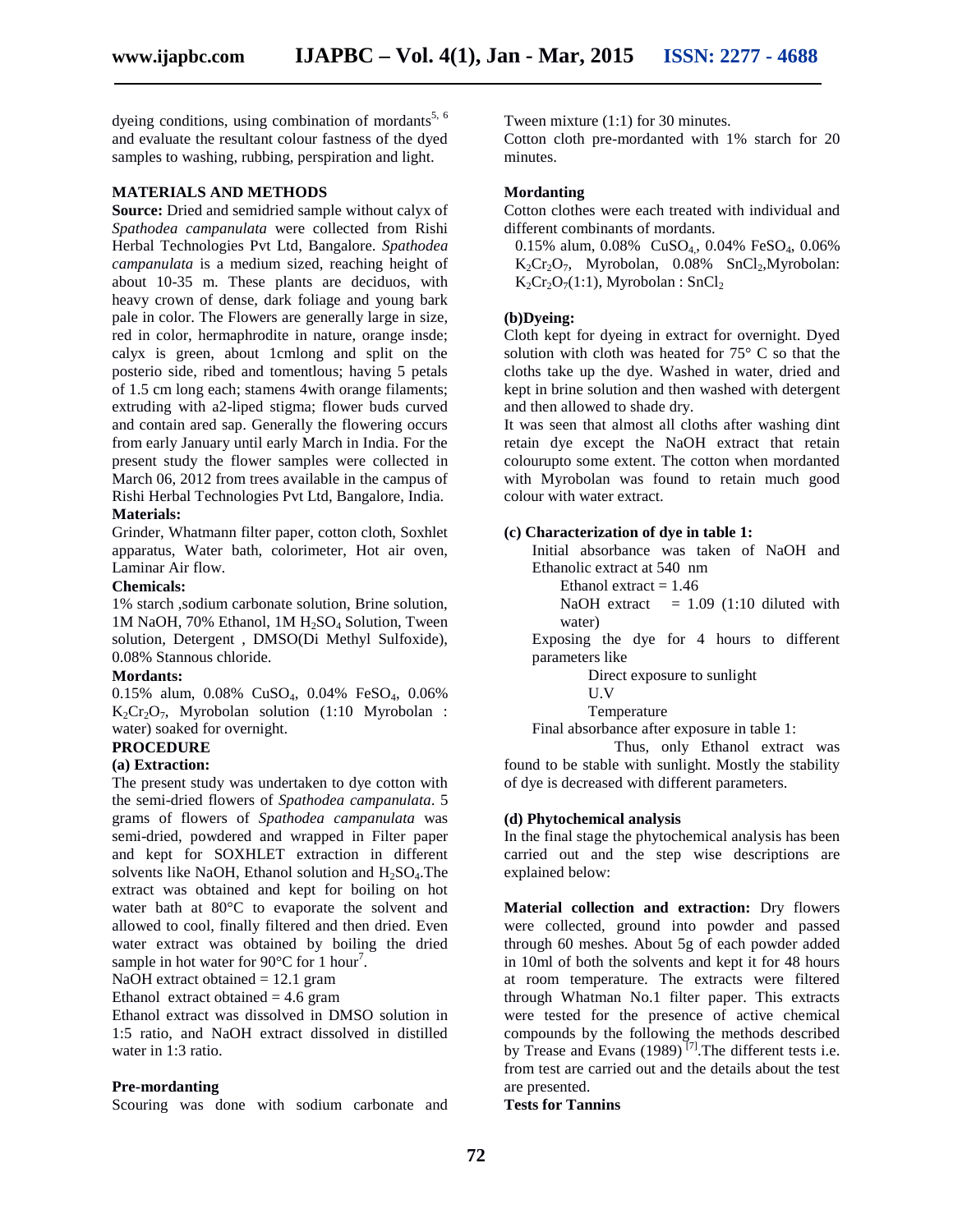dyeing conditions, using combination of mordants<sup>5, 6</sup> and evaluate the resultant colour fastness of the dyed samples to washing, rubbing, perspiration and light.

#### **MATERIALS AND METHODS**

**Source:** Dried and semidried sample without calyx of *Spathodea campanulata* were collected from Rishi Herbal Technologies Pvt Ltd, Bangalore. *Spathodea campanulata* is a medium sized, reaching height of about 10-35 m. These plants are deciduos, with heavy crown of dense, dark foliage and young bark pale in color. The Flowers are generally large in size, red in color, hermaphrodite in nature, orange insde; calyx is green, about 1cmlong and split on the posterio side, ribed and tomentlous; having 5 petals of 1.5 cm long each; stamens 4with orange filaments; extruding with a2-liped stigma; flower buds curved and contain ared sap. Generally the flowering occurs from early January until early March in India. For the present study the flower samples were collected in March 06, 2012 from trees available in the campus of Rishi Herbal Technologies Pvt Ltd, Bangalore, India. **Materials:**

Grinder, Whatmann filter paper, cotton cloth, Soxhlet apparatus, Water bath, colorimeter, Hot air oven, Laminar Air flow.

#### **Chemicals:**

1% starch ,sodium carbonate solution, Brine solution, 1M NaOH, 70% Ethanol, 1M H<sub>2</sub>SO<sub>4</sub> Solution, Tween solution, Detergent , DMSO(Di Methyl Sulfoxide), 0.08% Stannous chloride.

#### **Mordants:**

0.15% alum, 0.08% CuSO4, 0.04% FeSO4, 0.06%  $K_2Cr_2O_7$ , Myrobolan solution (1:10 Myrobolan : water) soaked for overnight.

# **PROCEDURE**

# **(a) Extraction:**

The present study was undertaken to dye cotton with the semi-dried flowers of *Spathodea campanulata*. 5 grams of flowers of *Spathodea campanulata* was semi-dried, powdered and wrapped in Filter paper and kept for SOXHLET extraction in different solvents like NaOH, Ethanol solution and  $H<sub>2</sub>SO<sub>4</sub>$ . The extract was obtained and kept for boiling on hot water bath at 80°C to evaporate the solvent and allowed to cool, finally filtered and then dried. Even water extract was obtained by boiling the dried sample in hot water for  $90^{\circ}$ C for 1 hour<sup>7</sup>.

NaOH extract obtained  $= 12.1$  gram

Ethanol extract obtained  $= 4.6$  gram

Ethanol extract was dissolved in DMSO solution in 1:5 ratio, and NaOH extract dissolved in distilled water in 1:3 ratio.

#### **Pre-mordanting**

Scouring was done with sodium carbonate and

Tween mixture (1:1) for 30 minutes.

Cotton cloth pre-mordanted with 1% starch for 20 minutes.

#### **Mordanting**

Cotton clothes were each treated with individual and different combinants of mordants.

0.15% alum, 0.08% CuSO<sub>4</sub>, 0.04% FeSO<sub>4</sub>, 0.06%  $K_2Cr_2O_7$ , Myrobolan, 0.08% SnCl<sub>2</sub>, Myrobolan:  $K_2Cr_2O_7(1:1)$ , Myrobolan : SnCl<sub>2</sub>

## **(b)Dyeing:**

Cloth kept for dyeing in extract for overnight. Dyed solution with cloth was heated for 75° C so that the cloths take up the dye. Washed in water, dried and kept in brine solution and then washed with detergent and then allowed to shade dry.

It was seen that almost all cloths after washing dint retain dye except the NaOH extract that retain colourupto some extent. The cotton when mordanted with Myrobolan was found to retain much good colour with water extract.

#### **(c) Characterization of dye in table 1:**

Initial absorbance was taken of NaOH and Ethanolic extract at 540 nm

Ethanol extract  $= 1.46$ 

NaOH extract  $= 1.09$  (1:10 diluted with water)

Exposing the dye for 4 hours to different parameters like

Direct exposure to sunlight

U.V

Temperature

Final absorbance after exposure in table 1:

Thus, only Ethanol extract was found to be stable with sunlight. Mostly the stability of dye is decreased with different parameters.

#### **(d) Phytochemical analysis**

In the final stage the phytochemical analysis has been carried out and the step wise descriptions are explained below:

**Material collection and extraction:** Dry flowers were collected, ground into powder and passed through 60 meshes. About 5g of each powder added in 10ml of both the solvents and kept it for 48 hours at room temperature. The extracts were filtered through Whatman No.1 filter paper. This extracts were tested for the presence of active chemical compounds by the following the methods described by Trease and Evans (1989)<sup> $[7]$ </sup>. The different tests i.e. from test are carried out and the details about the test are presented.

# **Tests for Tannins**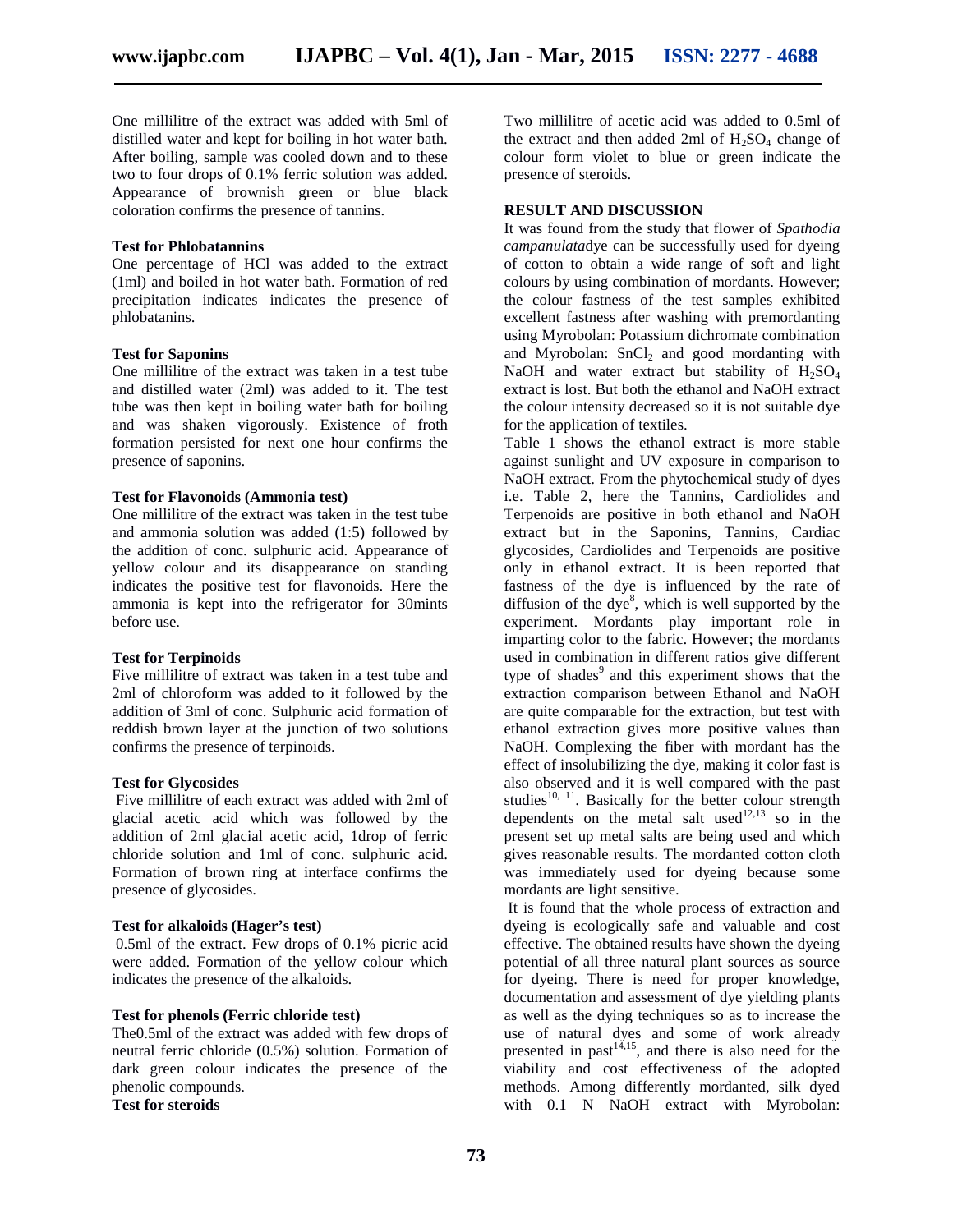One millilitre of the extract was added with 5ml of distilled water and kept for boiling in hot water bath. After boiling, sample was cooled down and to these two to four drops of 0.1% ferric solution was added. Appearance of brownish green or blue black coloration confirms the presence of tannins.

#### **Test for Phlobatannins**

One percentage of HCl was added to the extract (1ml) and boiled in hot water bath. Formation of red precipitation indicates indicates the presence of phlobatanins.

#### **Test for Saponins**

One millilitre of the extract was taken in a test tube and distilled water (2ml) was added to it. The test tube was then kept in boiling water bath for boiling and was shaken vigorously. Existence of froth formation persisted for next one hour confirms the presence of saponins.

#### **Test for Flavonoids (Ammonia test)**

One millilitre of the extract was taken in the test tube and ammonia solution was added (1:5) followed by the addition of conc. sulphuric acid. Appearance of yellow colour and its disappearance on standing indicates the positive test for flavonoids. Here the ammonia is kept into the refrigerator for 30mints before use.

#### **Test for Terpinoids**

Five millilitre of extract was taken in a test tube and 2ml of chloroform was added to it followed by the addition of 3ml of conc. Sulphuric acid formation of reddish brown layer at the junction of two solutions confirms the presence of terpinoids.

#### **Test for Glycosides**

Five millilitre of each extract was added with 2ml of glacial acetic acid which was followed by the addition of 2ml glacial acetic acid, 1drop of ferric chloride solution and 1ml of conc. sulphuric acid. Formation of brown ring at interface confirms the presence of glycosides.

#### **Test for alkaloids (Hager's test)**

0.5ml of the extract. Few drops of 0.1% picric acid were added. Formation of the yellow colour which indicates the presence of the alkaloids.

#### **Test for phenols (Ferric chloride test)**

The0.5ml of the extract was added with few drops of neutral ferric chloride (0.5%) solution. Formation of dark green colour indicates the presence of the phenolic compounds.

**Test for steroids**

Two millilitre of acetic acid was added to 0.5ml of the extract and then added 2ml of  $H_2SO_4$  change of colour form violet to blue or green indicate the presence of steroids.

#### **RESULT AND DISCUSSION**

It was found from the study that flower of *Spathodia campanulata*dye can be successfully used for dyeing of cotton to obtain a wide range of soft and light colours by using combination of mordants. However; the colour fastness of the test samples exhibited excellent fastness after washing with premordanting using Myrobolan: Potassium dichromate combination and Myrobolan:  $SnCl<sub>2</sub>$  and good mordanting with NaOH and water extract but stability of  $H_2SO_4$ extract is lost. But both the ethanol and NaOH extract the colour intensity decreased so it is not suitable dye for the application of textiles.

Table 1 shows the ethanol extract is more stable against sunlight and UV exposure in comparison to NaOH extract. From the phytochemical study of dyes i.e. Table 2, here the Tannins, Cardiolides and Terpenoids are positive in both ethanol and NaOH extract but in the Saponins, Tannins, Cardiac glycosides, Cardiolides and Terpenoids are positive only in ethanol extract. It is been reported that fastness of the dye is influenced by the rate of diffusion of the dye $\delta$ , which is well supported by the experiment. Mordants play important role in imparting color to the fabric. However; the mordants used in combination in different ratios give different type of shades<sup>9</sup> and this experiment shows that the extraction comparison between Ethanol and NaOH are quite comparable for the extraction, but test with ethanol extraction gives more positive values than NaOH. Complexing the fiber with mordant has the effect of insolubilizing the dye, making it color fast is also observed and it is well compared with the past studies<sup>10, 11</sup>. Basically for the better colour strength dependents on the metal salt used<sup>12,13</sup> so in the present set up metal salts are being used and which gives reasonable results. The mordanted cotton cloth was immediately used for dyeing because some mordants are light sensitive.

It is found that the whole process of extraction and dyeing is ecologically safe and valuable and cost effective. The obtained results have shown the dyeing potential of all three natural plant sources as source for dyeing. There is need for proper knowledge, documentation and assessment of dye yielding plants as well as the dying techniques so as to increase the use of natural dyes and some of work already presented in past $14,15$ , and there is also need for the viability and cost effectiveness of the adopted methods. Among differently mordanted, silk dyed with 0.1 N NaOH extract with Myrobolan: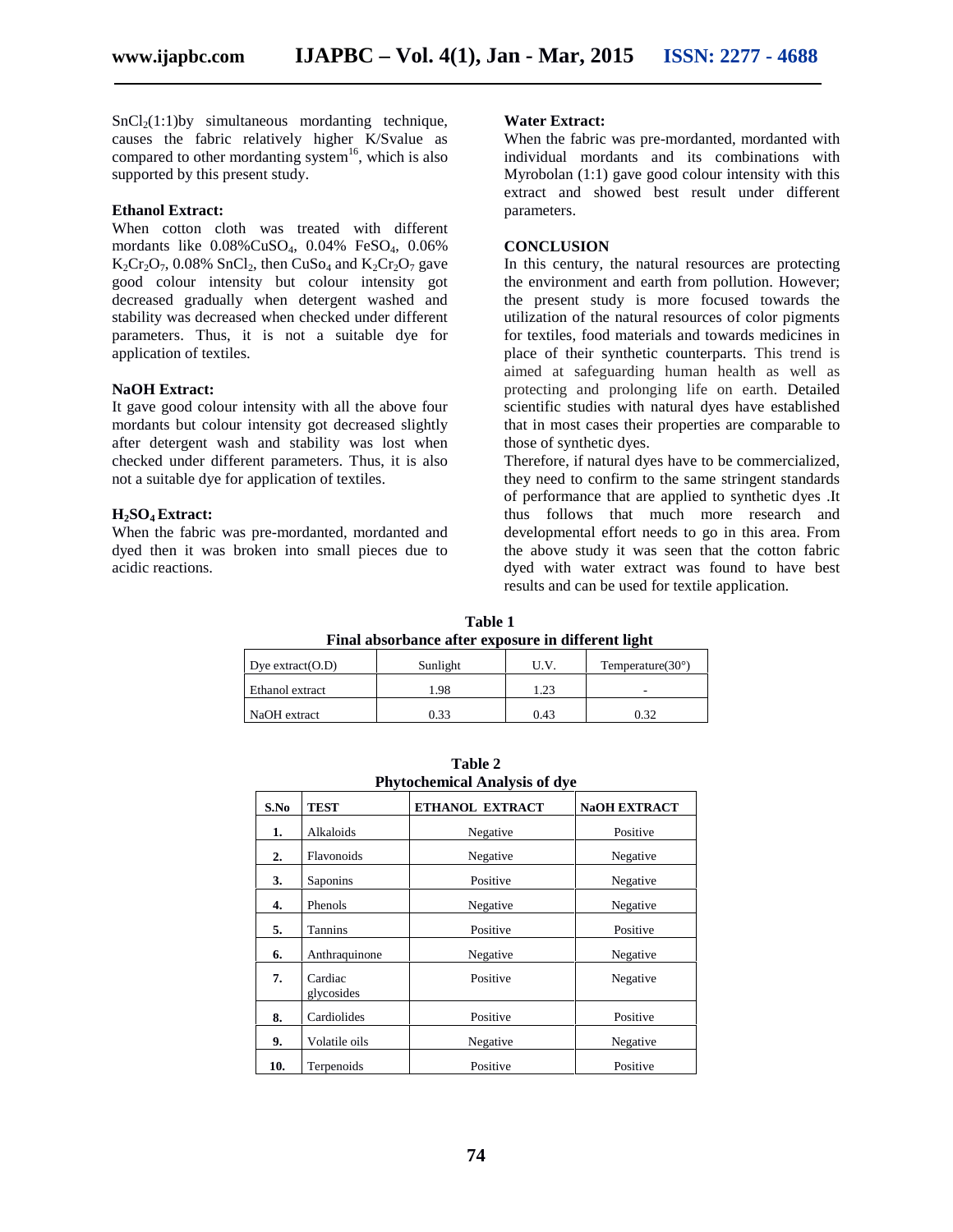$SnCl<sub>2</sub>(1:1)$ by simultaneous mordanting technique, causes the fabric relatively higher K/Svalue as compared to other mordanting system<sup>16</sup>, which is also supported by this present study.

#### **Ethanol Extract:**

When cotton cloth was treated with different mordants like 0.08%CuSO4, 0.04% FeSO4, 0.06%  $K_2Cr_2O_7$ , 0.08% SnCl<sub>2</sub>, then CuSo<sub>4</sub> and  $K_2Cr_2O_7$  gave good colour intensity but colour intensity got decreased gradually when detergent washed and stability was decreased when checked under different parameters. Thus, it is not a suitable dye for application of textiles.

#### **NaOH Extract:**

It gave good colour intensity with all the above four mordants but colour intensity got decreased slightly after detergent wash and stability was lost when checked under different parameters. Thus, it is also not a suitable dye for application of textiles.

#### **H2SO<sup>4</sup> Extract:**

When the fabric was pre-mordanted, mordanted and dyed then it was broken into small pieces due to acidic reactions.

#### **Water Extract:**

When the fabric was pre-mordanted, mordanted with individual mordants and its combinations with Myrobolan (1:1) gave good colour intensity with this extract and showed best result under different parameters.

#### **CONCLUSION**

In this century, the natural resources are protecting the environment and earth from pollution. However; the present study is more focused towards the utilization of the natural resources of color pigments for textiles, food materials and towards medicines in place of their synthetic counterparts. This trend is aimed at safeguarding human health as well as protecting and prolonging life on earth. Detailed scientific studies with natural dyes have established that in most cases their properties are comparable to those of synthetic dyes.

Therefore, if natural dyes have to be commercialized, they need to confirm to the same stringent standards of performance that are applied to synthetic dyes .It thus follows that much more research and developmental effort needs to go in this area. From the above study it was seen that the cotton fabric dyed with water extract was found to have best results and can be used for textile application.

| Table 1              |                                                    |      |                            |  |  |
|----------------------|----------------------------------------------------|------|----------------------------|--|--|
|                      | Final absorbance after exposure in different light |      |                            |  |  |
| Dye extract( $O.D$ ) | Sunlight                                           | U.V. | Temperature $(30^{\circ})$ |  |  |
| Ethanol extract      | 1.98                                               | 1.23 |                            |  |  |
| NaOH extract         | 0.33                                               | 0.43 | 0.32                       |  |  |

| <b>Phytochemical Analysis of dye</b> |                       |                 |                     |  |
|--------------------------------------|-----------------------|-----------------|---------------------|--|
| S.No                                 | <b>TEST</b>           | ETHANOL EXTRACT | <b>NaOH EXTRACT</b> |  |
| 1.                                   | Alkaloids             | Negative        | Positive            |  |
| 2.                                   | Flavonoids            | Negative        | Negative            |  |
| 3.                                   | Saponins              | Positive        | Negative            |  |
| 4.                                   | Phenols               | Negative        | Negative            |  |
| 5.                                   | Tannins               | Positive        | Positive            |  |
| 6.                                   | Anthraquinone         | Negative        | Negative            |  |
| 7.                                   | Cardiac<br>glycosides | Positive        | Negative            |  |
| 8.                                   | Cardiolides           | Positive        | Positive            |  |
| 9.                                   | Volatile oils         | Negative        | Negative            |  |
| 10.                                  | Terpenoids            | Positive        | Positive            |  |

**Table 2**